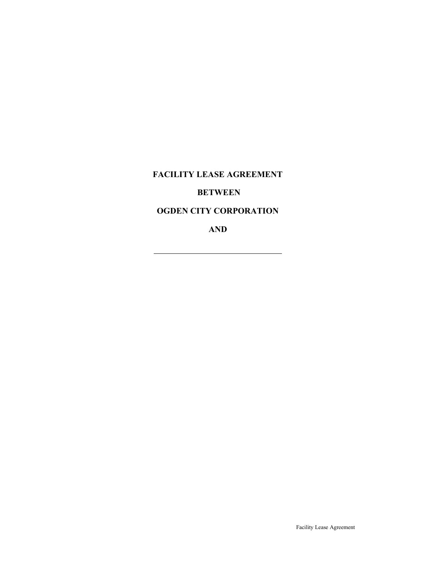FACILITY LEASE AGREEMENT

# BETWEEN

# OGDEN CITY CORPORATION

AND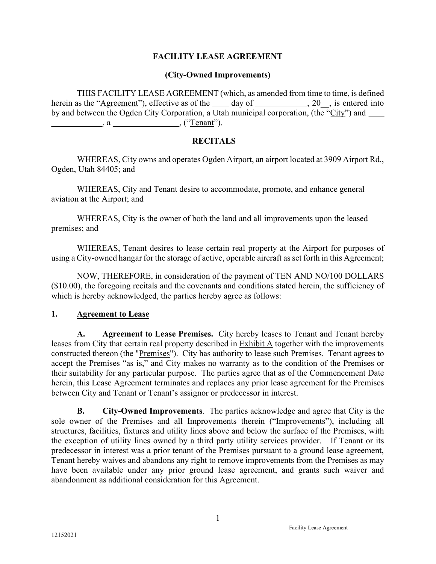### FACILITY LEASE AGREEMENT

#### (City-Owned Improvements)

THIS FACILITY LEASE AGREEMENT (which, as amended from time to time, is defined herein as the "Agreement"), effective as of the day of , 20, is entered into by and between the Ogden City Corporation, a Utah municipal corporation, (the "City") and \_\_\_\_\_\_\_\_\_  $\qquad \qquad , a \qquad \qquad , (``Tenant").$ 

#### **RECITALS**

WHEREAS, City owns and operates Ogden Airport, an airport located at 3909 Airport Rd., Ogden, Utah 84405; and

 WHEREAS, City and Tenant desire to accommodate, promote, and enhance general aviation at the Airport; and

 WHEREAS, City is the owner of both the land and all improvements upon the leased premises; and

WHEREAS, Tenant desires to lease certain real property at the Airport for purposes of using a City-owned hangar for the storage of active, operable aircraft as set forth in this Agreement;

NOW, THEREFORE, in consideration of the payment of TEN AND NO/100 DOLLARS (\$10.00), the foregoing recitals and the covenants and conditions stated herein, the sufficiency of which is hereby acknowledged, the parties hereby agree as follows:

#### 1. Agreement to Lease

A. Agreement to Lease Premises. City hereby leases to Tenant and Tenant hereby leases from City that certain real property described in Exhibit A together with the improvements constructed thereon (the "Premises"). City has authority to lease such Premises. Tenant agrees to accept the Premises "as is," and City makes no warranty as to the condition of the Premises or their suitability for any particular purpose. The parties agree that as of the Commencement Date herein, this Lease Agreement terminates and replaces any prior lease agreement for the Premises between City and Tenant or Tenant's assignor or predecessor in interest.

B. City-Owned Improvements. The parties acknowledge and agree that City is the sole owner of the Premises and all Improvements therein ("Improvements"), including all structures, facilities, fixtures and utility lines above and below the surface of the Premises, with the exception of utility lines owned by a third party utility services provider. If Tenant or its predecessor in interest was a prior tenant of the Premises pursuant to a ground lease agreement, Tenant hereby waives and abandons any right to remove improvements from the Premises as may have been available under any prior ground lease agreement, and grants such waiver and abandonment as additional consideration for this Agreement.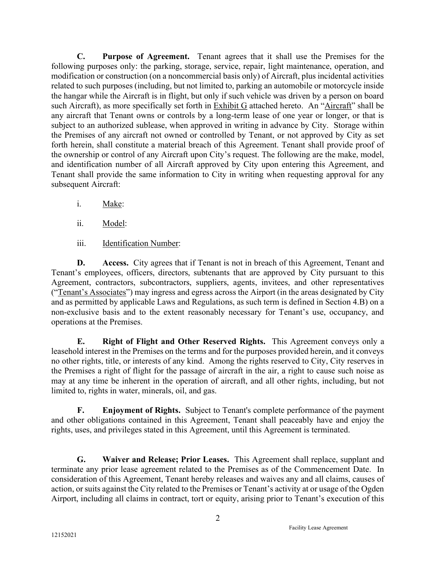C. Purpose of Agreement. Tenant agrees that it shall use the Premises for the following purposes only: the parking, storage, service, repair, light maintenance, operation, and modification or construction (on a noncommercial basis only) of Aircraft, plus incidental activities related to such purposes (including, but not limited to, parking an automobile or motorcycle inside the hangar while the Aircraft is in flight, but only if such vehicle was driven by a person on board such Aircraft), as more specifically set forth in Exhibit G attached hereto. An "Aircraft" shall be any aircraft that Tenant owns or controls by a long-term lease of one year or longer, or that is subject to an authorized sublease, when approved in writing in advance by City. Storage within the Premises of any aircraft not owned or controlled by Tenant, or not approved by City as set forth herein, shall constitute a material breach of this Agreement. Tenant shall provide proof of the ownership or control of any Aircraft upon City's request. The following are the make, model, and identification number of all Aircraft approved by City upon entering this Agreement, and Tenant shall provide the same information to City in writing when requesting approval for any subsequent Aircraft:

- i. Make:
- ii. Model:
- iii. Identification Number:

D. Access. City agrees that if Tenant is not in breach of this Agreement, Tenant and Tenant's employees, officers, directors, subtenants that are approved by City pursuant to this Agreement, contractors, subcontractors, suppliers, agents, invitees, and other representatives ("Tenant's Associates") may ingress and egress across the Airport (in the areas designated by City and as permitted by applicable Laws and Regulations, as such term is defined in Section 4.B) on a non-exclusive basis and to the extent reasonably necessary for Tenant's use, occupancy, and operations at the Premises.

E. Right of Flight and Other Reserved Rights. This Agreement conveys only a leasehold interest in the Premises on the terms and for the purposes provided herein, and it conveys no other rights, title, or interests of any kind. Among the rights reserved to City, City reserves in the Premises a right of flight for the passage of aircraft in the air, a right to cause such noise as may at any time be inherent in the operation of aircraft, and all other rights, including, but not limited to, rights in water, minerals, oil, and gas.

F. Enjoyment of Rights. Subject to Tenant's complete performance of the payment and other obligations contained in this Agreement, Tenant shall peaceably have and enjoy the rights, uses, and privileges stated in this Agreement, until this Agreement is terminated.

 G. Waiver and Release; Prior Leases. This Agreement shall replace, supplant and terminate any prior lease agreement related to the Premises as of the Commencement Date. In consideration of this Agreement, Tenant hereby releases and waives any and all claims, causes of action, or suits against the City related to the Premises or Tenant's activity at or usage of the Ogden Airport, including all claims in contract, tort or equity, arising prior to Tenant's execution of this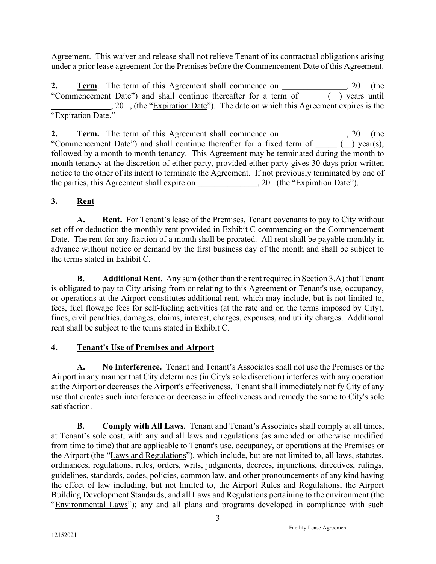Agreement. This waiver and release shall not relieve Tenant of its contractual obligations arising under a prior lease agreement for the Premises before the Commencement Date of this Agreement.

2. **Term.** The term of this Agreement shall commence on \_\_\_\_\_\_\_\_\_\_\_\_, 20 (the "Commencement Date") and shall continue thereafter for a term of \_\_\_\_\_ (\_\_) years until ., 20 , (the "Expiration Date"). The date on which this Agreement expires is the "Expiration Date."

2. Term. The term of this Agreement shall commence on  $\,$ , 20 (the "Commencement Date") and shall continue thereafter for a fixed term of  $($   $)$  year(s), followed by a month to month tenancy. This Agreement may be terminated during the month to month tenancy at the discretion of either party, provided either party gives 30 days prior written notice to the other of its intent to terminate the Agreement. If not previously terminated by one of the parties, this Agreement shall expire on  $\qquad \qquad$ , 20 (the "Expiration Date").

# 3. Rent

A. Rent. For Tenant's lease of the Premises, Tenant covenants to pay to City without set-off or deduction the monthly rent provided in  $Exhibit C$  commencing on the Commencement Date. The rent for any fraction of a month shall be prorated. All rent shall be payable monthly in advance without notice or demand by the first business day of the month and shall be subject to the terms stated in Exhibit C.

B. Additional Rent. Any sum (other than the rent required in Section 3.A) that Tenant is obligated to pay to City arising from or relating to this Agreement or Tenant's use, occupancy, or operations at the Airport constitutes additional rent, which may include, but is not limited to, fees, fuel flowage fees for self-fueling activities (at the rate and on the terms imposed by City), fines, civil penalties, damages, claims, interest, charges, expenses, and utility charges. Additional rent shall be subject to the terms stated in Exhibit C.

# 4. Tenant's Use of Premises and Airport

A. No Interference. Tenant and Tenant's Associates shall not use the Premises or the Airport in any manner that City determines (in City's sole discretion) interferes with any operation at the Airport or decreases the Airport's effectiveness. Tenant shall immediately notify City of any use that creates such interference or decrease in effectiveness and remedy the same to City's sole satisfaction.

B. Comply with All Laws. Tenant and Tenant's Associates shall comply at all times, at Tenant's sole cost, with any and all laws and regulations (as amended or otherwise modified from time to time) that are applicable to Tenant's use, occupancy, or operations at the Premises or the Airport (the "Laws and Regulations"), which include, but are not limited to, all laws, statutes, ordinances, regulations, rules, orders, writs, judgments, decrees, injunctions, directives, rulings, guidelines, standards, codes, policies, common law, and other pronouncements of any kind having the effect of law including, but not limited to, the Airport Rules and Regulations, the Airport Building Development Standards, and all Laws and Regulations pertaining to the environment (the "Environmental Laws"); any and all plans and programs developed in compliance with such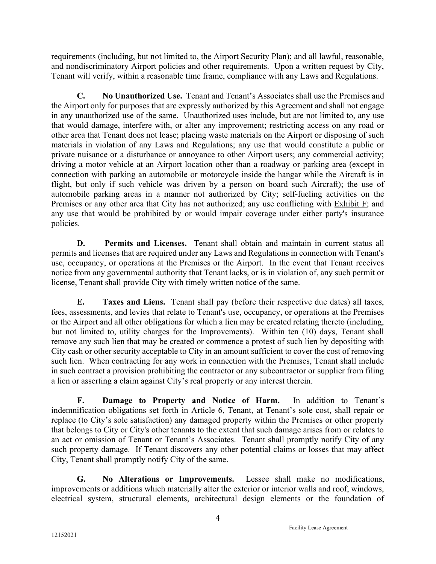requirements (including, but not limited to, the Airport Security Plan); and all lawful, reasonable, and nondiscriminatory Airport policies and other requirements. Upon a written request by City, Tenant will verify, within a reasonable time frame, compliance with any Laws and Regulations.

C. No Unauthorized Use. Tenant and Tenant's Associates shall use the Premises and the Airport only for purposes that are expressly authorized by this Agreement and shall not engage in any unauthorized use of the same. Unauthorized uses include, but are not limited to, any use that would damage, interfere with, or alter any improvement; restricting access on any road or other area that Tenant does not lease; placing waste materials on the Airport or disposing of such materials in violation of any Laws and Regulations; any use that would constitute a public or private nuisance or a disturbance or annoyance to other Airport users; any commercial activity; driving a motor vehicle at an Airport location other than a roadway or parking area (except in connection with parking an automobile or motorcycle inside the hangar while the Aircraft is in flight, but only if such vehicle was driven by a person on board such Aircraft); the use of automobile parking areas in a manner not authorized by City; self-fueling activities on the Premises or any other area that City has not authorized; any use conflicting with Exhibit F; and any use that would be prohibited by or would impair coverage under either party's insurance policies.

D. Permits and Licenses. Tenant shall obtain and maintain in current status all permits and licenses that are required under any Laws and Regulations in connection with Tenant's use, occupancy, or operations at the Premises or the Airport. In the event that Tenant receives notice from any governmental authority that Tenant lacks, or is in violation of, any such permit or license, Tenant shall provide City with timely written notice of the same.

E. Taxes and Liens. Tenant shall pay (before their respective due dates) all taxes, fees, assessments, and levies that relate to Tenant's use, occupancy, or operations at the Premises or the Airport and all other obligations for which a lien may be created relating thereto (including, but not limited to, utility charges for the Improvements). Within ten (10) days, Tenant shall remove any such lien that may be created or commence a protest of such lien by depositing with City cash or other security acceptable to City in an amount sufficient to cover the cost of removing such lien. When contracting for any work in connection with the Premises, Tenant shall include in such contract a provision prohibiting the contractor or any subcontractor or supplier from filing a lien or asserting a claim against City's real property or any interest therein.

F. Damage to Property and Notice of Harm. In addition to Tenant's indemnification obligations set forth in Article 6, Tenant, at Tenant's sole cost, shall repair or replace (to City's sole satisfaction) any damaged property within the Premises or other property that belongs to City or City's other tenants to the extent that such damage arises from or relates to an act or omission of Tenant or Tenant's Associates. Tenant shall promptly notify City of any such property damage. If Tenant discovers any other potential claims or losses that may affect City, Tenant shall promptly notify City of the same.

G. No Alterations or Improvements. Lessee shall make no modifications, improvements or additions which materially alter the exterior or interior walls and roof, windows, electrical system, structural elements, architectural design elements or the foundation of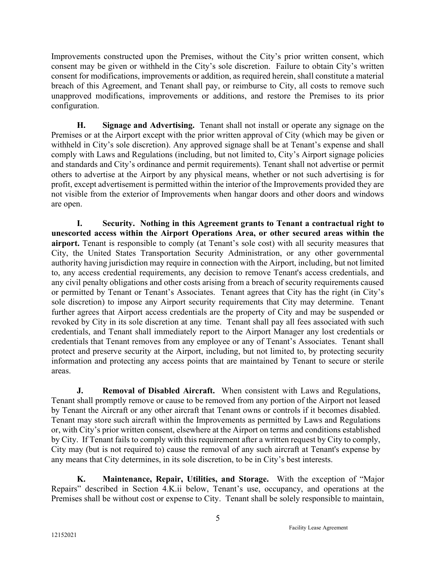Improvements constructed upon the Premises, without the City's prior written consent, which consent may be given or withheld in the City's sole discretion. Failure to obtain City's written consent for modifications, improvements or addition, as required herein, shall constitute a material breach of this Agreement, and Tenant shall pay, or reimburse to City, all costs to remove such unapproved modifications, improvements or additions, and restore the Premises to its prior configuration.

H. Signage and Advertising. Tenant shall not install or operate any signage on the Premises or at the Airport except with the prior written approval of City (which may be given or withheld in City's sole discretion). Any approved signage shall be at Tenant's expense and shall comply with Laws and Regulations (including, but not limited to, City's Airport signage policies and standards and City's ordinance and permit requirements). Tenant shall not advertise or permit others to advertise at the Airport by any physical means, whether or not such advertising is for profit, except advertisement is permitted within the interior of the Improvements provided they are not visible from the exterior of Improvements when hangar doors and other doors and windows are open.

I. Security. Nothing in this Agreement grants to Tenant a contractual right to unescorted access within the Airport Operations Area, or other secured areas within the airport. Tenant is responsible to comply (at Tenant's sole cost) with all security measures that City, the United States Transportation Security Administration, or any other governmental authority having jurisdiction may require in connection with the Airport, including, but not limited to, any access credential requirements, any decision to remove Tenant's access credentials, and any civil penalty obligations and other costs arising from a breach of security requirements caused or permitted by Tenant or Tenant's Associates. Tenant agrees that City has the right (in City's sole discretion) to impose any Airport security requirements that City may determine. Tenant further agrees that Airport access credentials are the property of City and may be suspended or revoked by City in its sole discretion at any time. Tenant shall pay all fees associated with such credentials, and Tenant shall immediately report to the Airport Manager any lost credentials or credentials that Tenant removes from any employee or any of Tenant's Associates. Tenant shall protect and preserve security at the Airport, including, but not limited to, by protecting security information and protecting any access points that are maintained by Tenant to secure or sterile areas.

**J.** Removal of Disabled Aircraft. When consistent with Laws and Regulations, Tenant shall promptly remove or cause to be removed from any portion of the Airport not leased by Tenant the Aircraft or any other aircraft that Tenant owns or controls if it becomes disabled. Tenant may store such aircraft within the Improvements as permitted by Laws and Regulations or, with City's prior written consent, elsewhere at the Airport on terms and conditions established by City. If Tenant fails to comply with this requirement after a written request by City to comply, City may (but is not required to) cause the removal of any such aircraft at Tenant's expense by any means that City determines, in its sole discretion, to be in City's best interests.

K. Maintenance, Repair, Utilities, and Storage. With the exception of "Major Repairs" described in Section 4.K.ii below, Tenant's use, occupancy, and operations at the Premises shall be without cost or expense to City. Tenant shall be solely responsible to maintain,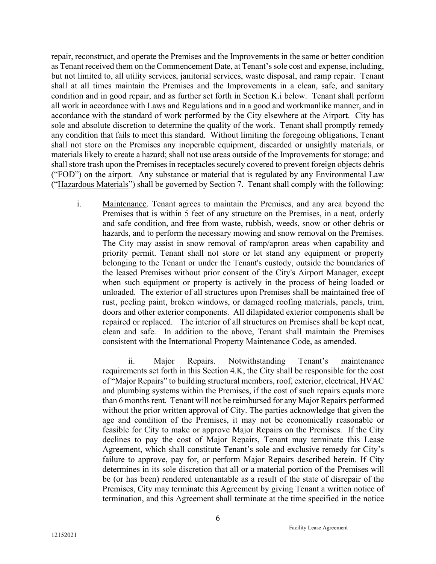repair, reconstruct, and operate the Premises and the Improvements in the same or better condition as Tenant received them on the Commencement Date, at Tenant's sole cost and expense, including, but not limited to, all utility services, janitorial services, waste disposal, and ramp repair. Tenant shall at all times maintain the Premises and the Improvements in a clean, safe, and sanitary condition and in good repair, and as further set forth in Section K.i below. Tenant shall perform all work in accordance with Laws and Regulations and in a good and workmanlike manner, and in accordance with the standard of work performed by the City elsewhere at the Airport. City has sole and absolute discretion to determine the quality of the work. Tenant shall promptly remedy any condition that fails to meet this standard. Without limiting the foregoing obligations, Tenant shall not store on the Premises any inoperable equipment, discarded or unsightly materials, or materials likely to create a hazard; shall not use areas outside of the Improvements for storage; and shall store trash upon the Premises in receptacles securely covered to prevent foreign objects debris ("FOD") on the airport. Any substance or material that is regulated by any Environmental Law ("Hazardous Materials") shall be governed by Section 7. Tenant shall comply with the following:

i. Maintenance. Tenant agrees to maintain the Premises, and any area beyond the Premises that is within 5 feet of any structure on the Premises, in a neat, orderly and safe condition, and free from waste, rubbish, weeds, snow or other debris or hazards, and to perform the necessary mowing and snow removal on the Premises. The City may assist in snow removal of ramp/apron areas when capability and priority permit. Tenant shall not store or let stand any equipment or property belonging to the Tenant or under the Tenant's custody, outside the boundaries of the leased Premises without prior consent of the City's Airport Manager, except when such equipment or property is actively in the process of being loaded or unloaded. The exterior of all structures upon Premises shall be maintained free of rust, peeling paint, broken windows, or damaged roofing materials, panels, trim, doors and other exterior components. All dilapidated exterior components shall be repaired or replaced. The interior of all structures on Premises shall be kept neat, clean and safe. In addition to the above, Tenant shall maintain the Premises consistent with the International Property Maintenance Code, as amended.

ii. Major Repairs. Notwithstanding Tenant's maintenance requirements set forth in this Section 4.K, the City shall be responsible for the cost of "Major Repairs" to building structural members, roof, exterior, electrical, HVAC and plumbing systems within the Premises, if the cost of such repairs equals more than 6 months rent. Tenant will not be reimbursed for any Major Repairs performed without the prior written approval of City. The parties acknowledge that given the age and condition of the Premises, it may not be economically reasonable or feasible for City to make or approve Major Repairs on the Premises. If the City declines to pay the cost of Major Repairs, Tenant may terminate this Lease Agreement, which shall constitute Tenant's sole and exclusive remedy for City's failure to approve, pay for, or perform Major Repairs described herein. If City determines in its sole discretion that all or a material portion of the Premises will be (or has been) rendered untenantable as a result of the state of disrepair of the Premises, City may terminate this Agreement by giving Tenant a written notice of termination, and this Agreement shall terminate at the time specified in the notice

6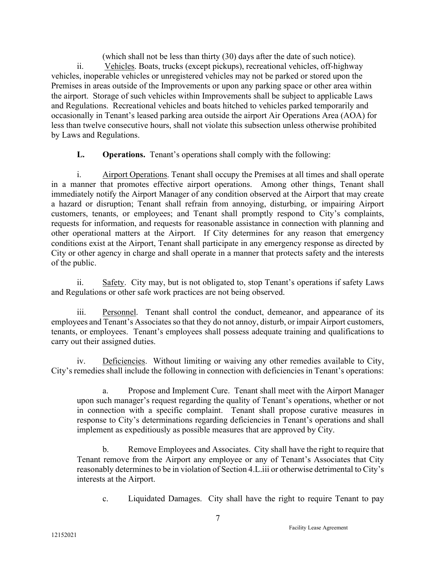(which shall not be less than thirty (30) days after the date of such notice). ii. Vehicles. Boats, trucks (except pickups), recreational vehicles, off-highway vehicles, inoperable vehicles or unregistered vehicles may not be parked or stored upon the Premises in areas outside of the Improvements or upon any parking space or other area within the airport. Storage of such vehicles within Improvements shall be subject to applicable Laws and Regulations. Recreational vehicles and boats hitched to vehicles parked temporarily and occasionally in Tenant's leased parking area outside the airport Air Operations Area (AOA) for less than twelve consecutive hours, shall not violate this subsection unless otherwise prohibited by Laws and Regulations.

L. Operations. Tenant's operations shall comply with the following:

i. Airport Operations. Tenant shall occupy the Premises at all times and shall operate in a manner that promotes effective airport operations. Among other things, Tenant shall immediately notify the Airport Manager of any condition observed at the Airport that may create a hazard or disruption; Tenant shall refrain from annoying, disturbing, or impairing Airport customers, tenants, or employees; and Tenant shall promptly respond to City's complaints, requests for information, and requests for reasonable assistance in connection with planning and other operational matters at the Airport. If City determines for any reason that emergency conditions exist at the Airport, Tenant shall participate in any emergency response as directed by City or other agency in charge and shall operate in a manner that protects safety and the interests of the public.

ii. Safety. City may, but is not obligated to, stop Tenant's operations if safety Laws and Regulations or other safe work practices are not being observed.

iii. Personnel. Tenant shall control the conduct, demeanor, and appearance of its employees and Tenant's Associates so that they do not annoy, disturb, or impair Airport customers, tenants, or employees. Tenant's employees shall possess adequate training and qualifications to carry out their assigned duties.

iv. Deficiencies. Without limiting or waiving any other remedies available to City, City's remedies shall include the following in connection with deficiencies in Tenant's operations:

 a. Propose and Implement Cure. Tenant shall meet with the Airport Manager upon such manager's request regarding the quality of Tenant's operations, whether or not in connection with a specific complaint. Tenant shall propose curative measures in response to City's determinations regarding deficiencies in Tenant's operations and shall implement as expeditiously as possible measures that are approved by City.

 b. Remove Employees and Associates. City shall have the right to require that Tenant remove from the Airport any employee or any of Tenant's Associates that City reasonably determines to be in violation of Section 4.L.iii or otherwise detrimental to City's interests at the Airport.

c. Liquidated Damages. City shall have the right to require Tenant to pay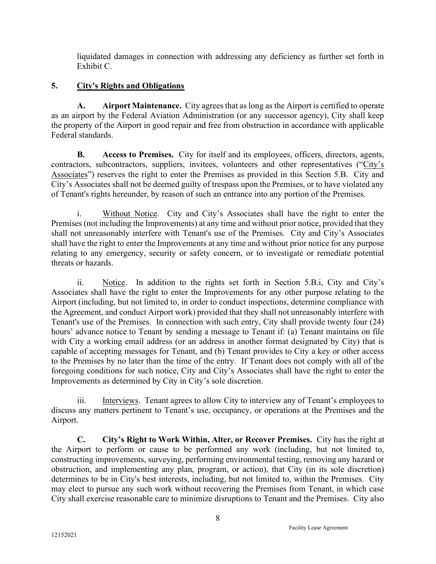liquidated damages in connection with addressing any deficiency as further set forth in Exhibit C.

# 5. City's Rights and Obligations

A. Airport Maintenance. City agrees that as long as the Airport is certified to operate as an airport by the Federal Aviation Administration (or any successor agency), City shall keep the property of the Airport in good repair and free from obstruction in accordance with applicable Federal standards.

B. Access to Premises. City for itself and its employees, officers, directors, agents, contractors, subcontractors, suppliers, invitees, volunteers and other representatives ("City's Associates") reserves the right to enter the Premises as provided in this Section 5.B. City and City's Associates shall not be deemed guilty of trespass upon the Premises, or to have violated any of Tenant's rights hereunder, by reason of such an entrance into any portion of the Premises.

i. Without Notice. City and City's Associates shall have the right to enter the Premises (not including the Improvements) at any time and without prior notice, provided that they shall not unreasonably interfere with Tenant's use of the Premises. City and City's Associates shall have the right to enter the Improvements at any time and without prior notice for any purpose relating to any emergency, security or safety concern, or to investigate or remediate potential threats or hazards.

ii. Notice. In addition to the rights set forth in Section 5.B.i, City and City's Associates shall have the right to enter the Improvements for any other purpose relating to the Airport (including, but not limited to, in order to conduct inspections, determine compliance with the Agreement, and conduct Airport work) provided that they shall not unreasonably interfere with Tenant's use of the Premises. In connection with such entry, City shall provide twenty four (24) hours' advance notice to Tenant by sending a message to Tenant if: (a) Tenant maintains on file with City a working email address (or an address in another format designated by City) that is capable of accepting messages for Tenant, and (b) Tenant provides to City a key or other access to the Premises by no later than the time of the entry. If Tenant does not comply with all of the foregoing conditions for such notice, City and City's Associates shall have the right to enter the Improvements as determined by City in City's sole discretion.

iii. Interviews. Tenant agrees to allow City to interview any of Tenant's employees to discuss any matters pertinent to Tenant's use, occupancy, or operations at the Premises and the Airport.

C. City's Right to Work Within, Alter, or Recover Premises. City has the right at the Airport to perform or cause to be performed any work (including, but not limited to, constructing improvements, surveying, performing environmental testing, removing any hazard or obstruction, and implementing any plan, program, or action), that City (in its sole discretion) determines to be in City's best interests, including, but not limited to, within the Premises. City may elect to pursue any such work without recovering the Premises from Tenant, in which case City shall exercise reasonable care to minimize disruptions to Tenant and the Premises. City also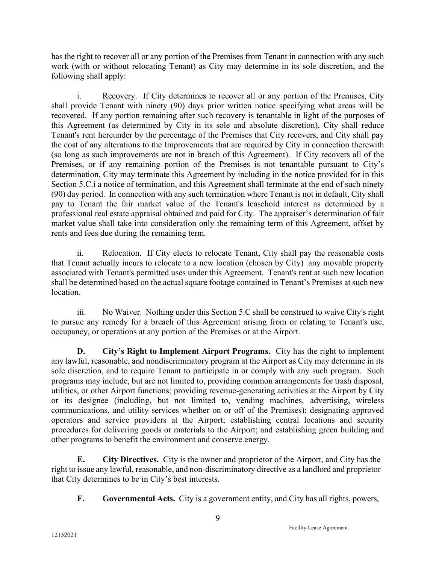has the right to recover all or any portion of the Premises from Tenant in connection with any such work (with or without relocating Tenant) as City may determine in its sole discretion, and the following shall apply:

 i. Recovery. If City determines to recover all or any portion of the Premises, City shall provide Tenant with ninety (90) days prior written notice specifying what areas will be recovered. If any portion remaining after such recovery is tenantable in light of the purposes of this Agreement (as determined by City in its sole and absolute discretion), City shall reduce Tenant's rent hereunder by the percentage of the Premises that City recovers, and City shall pay the cost of any alterations to the Improvements that are required by City in connection therewith (so long as such improvements are not in breach of this Agreement). If City recovers all of the Premises, or if any remaining portion of the Premises is not tenantable pursuant to City's determination, City may terminate this Agreement by including in the notice provided for in this Section 5.C.i a notice of termination, and this Agreement shall terminate at the end of such ninety (90) day period. In connection with any such termination where Tenant is not in default, City shall pay to Tenant the fair market value of the Tenant's leasehold interest as determined by a professional real estate appraisal obtained and paid for City. The appraiser's determination of fair market value shall take into consideration only the remaining term of this Agreement, offset by rents and fees due during the remaining term.

ii. Relocation. If City elects to relocate Tenant, City shall pay the reasonable costs that Tenant actually incurs to relocate to a new location (chosen by City) any movable property associated with Tenant's permitted uses under this Agreement. Tenant's rent at such new location shall be determined based on the actual square footage contained in Tenant's Premises at such new location.

iii. No Waiver. Nothing under this Section 5.C shall be construed to waive City's right to pursue any remedy for a breach of this Agreement arising from or relating to Tenant's use, occupancy, or operations at any portion of the Premises or at the Airport.

D. City's Right to Implement Airport Programs. City has the right to implement any lawful, reasonable, and nondiscriminatory program at the Airport as City may determine in its sole discretion, and to require Tenant to participate in or comply with any such program. Such programs may include, but are not limited to, providing common arrangements for trash disposal, utilities, or other Airport functions; providing revenue-generating activities at the Airport by City or its designee (including, but not limited to, vending machines, advertising, wireless communications, and utility services whether on or off of the Premises); designating approved operators and service providers at the Airport; establishing central locations and security procedures for delivering goods or materials to the Airport; and establishing green building and other programs to benefit the environment and conserve energy.

E. City Directives. City is the owner and proprietor of the Airport, and City has the right to issue any lawful, reasonable, and non-discriminatory directive as a landlord and proprietor that City determines to be in City's best interests.

F. Governmental Acts. City is a government entity, and City has all rights, powers,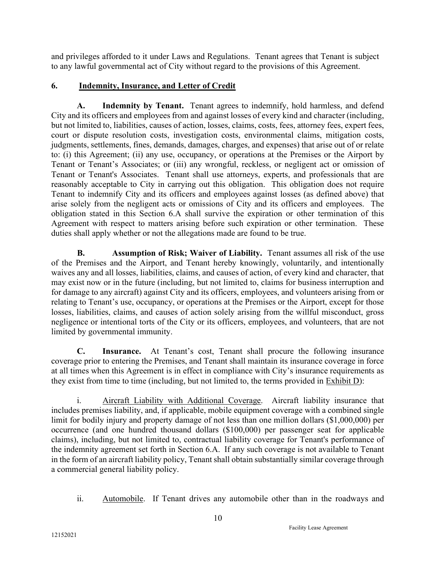and privileges afforded to it under Laws and Regulations. Tenant agrees that Tenant is subject to any lawful governmental act of City without regard to the provisions of this Agreement.

## 6. Indemnity, Insurance, and Letter of Credit

A. Indemnity by Tenant. Tenant agrees to indemnify, hold harmless, and defend City and its officers and employees from and against losses of every kind and character (including, but not limited to, liabilities, causes of action, losses, claims, costs, fees, attorney fees, expert fees, court or dispute resolution costs, investigation costs, environmental claims, mitigation costs, judgments, settlements, fines, demands, damages, charges, and expenses) that arise out of or relate to: (i) this Agreement; (ii) any use, occupancy, or operations at the Premises or the Airport by Tenant or Tenant's Associates; or (iii) any wrongful, reckless, or negligent act or omission of Tenant or Tenant's Associates. Tenant shall use attorneys, experts, and professionals that are reasonably acceptable to City in carrying out this obligation. This obligation does not require Tenant to indemnify City and its officers and employees against losses (as defined above) that arise solely from the negligent acts or omissions of City and its officers and employees. The obligation stated in this Section 6.A shall survive the expiration or other termination of this Agreement with respect to matters arising before such expiration or other termination. These duties shall apply whether or not the allegations made are found to be true.

B. Assumption of Risk; Waiver of Liability. Tenant assumes all risk of the use of the Premises and the Airport, and Tenant hereby knowingly, voluntarily, and intentionally waives any and all losses, liabilities, claims, and causes of action, of every kind and character, that may exist now or in the future (including, but not limited to, claims for business interruption and for damage to any aircraft) against City and its officers, employees, and volunteers arising from or relating to Tenant's use, occupancy, or operations at the Premises or the Airport, except for those losses, liabilities, claims, and causes of action solely arising from the willful misconduct, gross negligence or intentional torts of the City or its officers, employees, and volunteers, that are not limited by governmental immunity.

C. Insurance. At Tenant's cost, Tenant shall procure the following insurance coverage prior to entering the Premises, and Tenant shall maintain its insurance coverage in force at all times when this Agreement is in effect in compliance with City's insurance requirements as they exist from time to time (including, but not limited to, the terms provided in Exhibit D):

i. Aircraft Liability with Additional Coverage. Aircraft liability insurance that includes premises liability, and, if applicable, mobile equipment coverage with a combined single limit for bodily injury and property damage of not less than one million dollars (\$1,000,000) per occurrence (and one hundred thousand dollars (\$100,000) per passenger seat for applicable claims), including, but not limited to, contractual liability coverage for Tenant's performance of the indemnity agreement set forth in Section 6.A. If any such coverage is not available to Tenant in the form of an aircraft liability policy, Tenant shall obtain substantially similar coverage through a commercial general liability policy.

ii. Automobile. If Tenant drives any automobile other than in the roadways and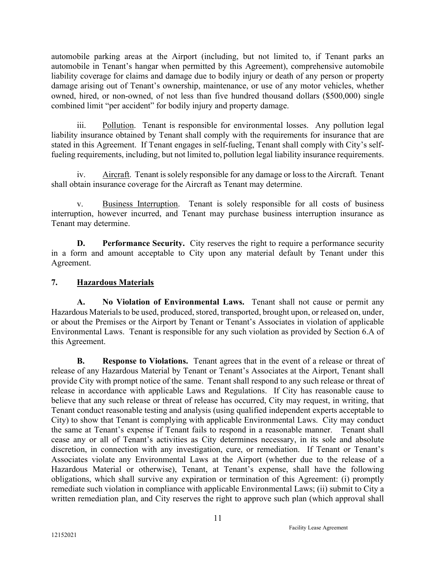automobile parking areas at the Airport (including, but not limited to, if Tenant parks an automobile in Tenant's hangar when permitted by this Agreement), comprehensive automobile liability coverage for claims and damage due to bodily injury or death of any person or property damage arising out of Tenant's ownership, maintenance, or use of any motor vehicles, whether owned, hired, or non-owned, of not less than five hundred thousand dollars (\$500,000) single combined limit "per accident" for bodily injury and property damage.

iii. Pollution. Tenant is responsible for environmental losses. Any pollution legal liability insurance obtained by Tenant shall comply with the requirements for insurance that are stated in this Agreement. If Tenant engages in self-fueling, Tenant shall comply with City's selffueling requirements, including, but not limited to, pollution legal liability insurance requirements.

iv. Aircraft. Tenant is solely responsible for any damage or loss to the Aircraft. Tenant shall obtain insurance coverage for the Aircraft as Tenant may determine.

v. Business Interruption. Tenant is solely responsible for all costs of business interruption, however incurred, and Tenant may purchase business interruption insurance as Tenant may determine.

**D.** Performance Security. City reserves the right to require a performance security in a form and amount acceptable to City upon any material default by Tenant under this Agreement.

# 7. Hazardous Materials

A. No Violation of Environmental Laws. Tenant shall not cause or permit any Hazardous Materials to be used, produced, stored, transported, brought upon, or released on, under, or about the Premises or the Airport by Tenant or Tenant's Associates in violation of applicable Environmental Laws. Tenant is responsible for any such violation as provided by Section 6.A of this Agreement.

**B.** Response to Violations. Tenant agrees that in the event of a release or threat of release of any Hazardous Material by Tenant or Tenant's Associates at the Airport, Tenant shall provide City with prompt notice of the same. Tenant shall respond to any such release or threat of release in accordance with applicable Laws and Regulations. If City has reasonable cause to believe that any such release or threat of release has occurred, City may request, in writing, that Tenant conduct reasonable testing and analysis (using qualified independent experts acceptable to City) to show that Tenant is complying with applicable Environmental Laws. City may conduct the same at Tenant's expense if Tenant fails to respond in a reasonable manner. Tenant shall cease any or all of Tenant's activities as City determines necessary, in its sole and absolute discretion, in connection with any investigation, cure, or remediation. If Tenant or Tenant's Associates violate any Environmental Laws at the Airport (whether due to the release of a Hazardous Material or otherwise), Tenant, at Tenant's expense, shall have the following obligations, which shall survive any expiration or termination of this Agreement: (i) promptly remediate such violation in compliance with applicable Environmental Laws; (ii) submit to City a written remediation plan, and City reserves the right to approve such plan (which approval shall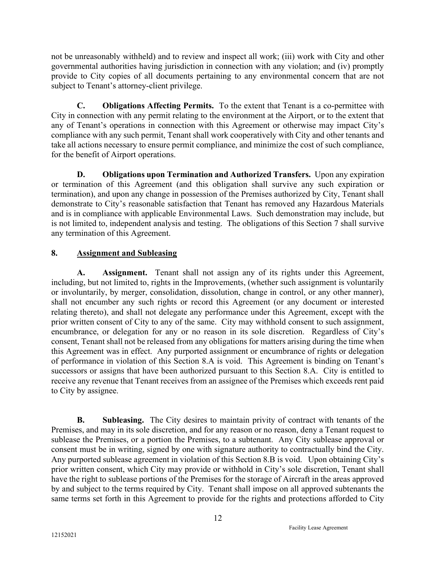not be unreasonably withheld) and to review and inspect all work; (iii) work with City and other governmental authorities having jurisdiction in connection with any violation; and (iv) promptly provide to City copies of all documents pertaining to any environmental concern that are not subject to Tenant's attorney-client privilege.

C. Obligations Affecting Permits. To the extent that Tenant is a co-permittee with City in connection with any permit relating to the environment at the Airport, or to the extent that any of Tenant's operations in connection with this Agreement or otherwise may impact City's compliance with any such permit, Tenant shall work cooperatively with City and other tenants and take all actions necessary to ensure permit compliance, and minimize the cost of such compliance, for the benefit of Airport operations.

D. Obligations upon Termination and Authorized Transfers. Upon any expiration or termination of this Agreement (and this obligation shall survive any such expiration or termination), and upon any change in possession of the Premises authorized by City, Tenant shall demonstrate to City's reasonable satisfaction that Tenant has removed any Hazardous Materials and is in compliance with applicable Environmental Laws. Such demonstration may include, but is not limited to, independent analysis and testing. The obligations of this Section 7 shall survive any termination of this Agreement.

# 8. Assignment and Subleasing

A. Assignment. Tenant shall not assign any of its rights under this Agreement, including, but not limited to, rights in the Improvements, (whether such assignment is voluntarily or involuntarily, by merger, consolidation, dissolution, change in control, or any other manner), shall not encumber any such rights or record this Agreement (or any document or interested relating thereto), and shall not delegate any performance under this Agreement, except with the prior written consent of City to any of the same. City may withhold consent to such assignment, encumbrance, or delegation for any or no reason in its sole discretion. Regardless of City's consent, Tenant shall not be released from any obligations for matters arising during the time when this Agreement was in effect. Any purported assignment or encumbrance of rights or delegation of performance in violation of this Section 8.A is void. This Agreement is binding on Tenant's successors or assigns that have been authorized pursuant to this Section 8.A. City is entitled to receive any revenue that Tenant receives from an assignee of the Premises which exceeds rent paid to City by assignee.

B. Subleasing. The City desires to maintain privity of contract with tenants of the Premises, and may in its sole discretion, and for any reason or no reason, deny a Tenant request to sublease the Premises, or a portion the Premises, to a subtenant. Any City sublease approval or consent must be in writing, signed by one with signature authority to contractually bind the City. Any purported sublease agreement in violation of this Section 8.B is void. Upon obtaining City's prior written consent, which City may provide or withhold in City's sole discretion, Tenant shall have the right to sublease portions of the Premises for the storage of Aircraft in the areas approved by and subject to the terms required by City. Tenant shall impose on all approved subtenants the same terms set forth in this Agreement to provide for the rights and protections afforded to City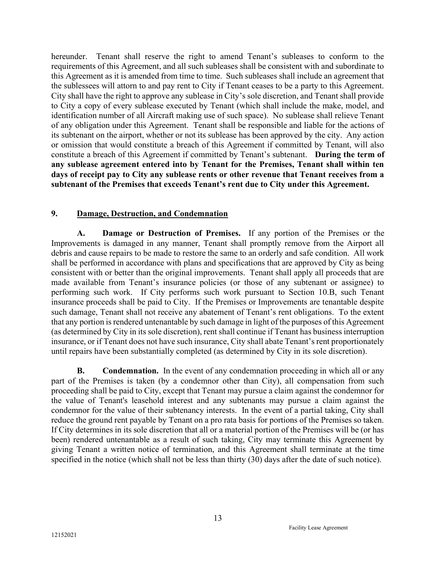hereunder. Tenant shall reserve the right to amend Tenant's subleases to conform to the requirements of this Agreement, and all such subleases shall be consistent with and subordinate to this Agreement as it is amended from time to time. Such subleases shall include an agreement that the sublessees will attorn to and pay rent to City if Tenant ceases to be a party to this Agreement. City shall have the right to approve any sublease in City's sole discretion, and Tenant shall provide to City a copy of every sublease executed by Tenant (which shall include the make, model, and identification number of all Aircraft making use of such space). No sublease shall relieve Tenant of any obligation under this Agreement. Tenant shall be responsible and liable for the actions of its subtenant on the airport, whether or not its sublease has been approved by the city. Any action or omission that would constitute a breach of this Agreement if committed by Tenant, will also constitute a breach of this Agreement if committed by Tenant's subtenant. During the term of any sublease agreement entered into by Tenant for the Premises, Tenant shall within ten days of receipt pay to City any sublease rents or other revenue that Tenant receives from a subtenant of the Premises that exceeds Tenant's rent due to City under this Agreement.

### 9. Damage, Destruction, and Condemnation

A. Damage or Destruction of Premises. If any portion of the Premises or the Improvements is damaged in any manner, Tenant shall promptly remove from the Airport all debris and cause repairs to be made to restore the same to an orderly and safe condition. All work shall be performed in accordance with plans and specifications that are approved by City as being consistent with or better than the original improvements. Tenant shall apply all proceeds that are made available from Tenant's insurance policies (or those of any subtenant or assignee) to performing such work. If City performs such work pursuant to Section 10.B, such Tenant insurance proceeds shall be paid to City. If the Premises or Improvements are tenantable despite such damage, Tenant shall not receive any abatement of Tenant's rent obligations. To the extent that any portion is rendered untenantable by such damage in light of the purposes of this Agreement (as determined by City in its sole discretion), rent shall continue if Tenant has business interruption insurance, or if Tenant does not have such insurance, City shall abate Tenant's rent proportionately until repairs have been substantially completed (as determined by City in its sole discretion).

**B.** Condemnation. In the event of any condemnation proceeding in which all or any part of the Premises is taken (by a condemnor other than City), all compensation from such proceeding shall be paid to City, except that Tenant may pursue a claim against the condemnor for the value of Tenant's leasehold interest and any subtenants may pursue a claim against the condemnor for the value of their subtenancy interests. In the event of a partial taking, City shall reduce the ground rent payable by Tenant on a pro rata basis for portions of the Premises so taken. If City determines in its sole discretion that all or a material portion of the Premises will be (or has been) rendered untenantable as a result of such taking, City may terminate this Agreement by giving Tenant a written notice of termination, and this Agreement shall terminate at the time specified in the notice (which shall not be less than thirty (30) days after the date of such notice).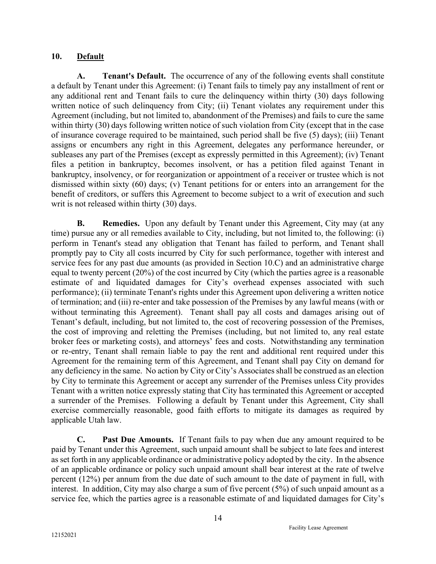### 10. Default

A. Tenant's Default. The occurrence of any of the following events shall constitute a default by Tenant under this Agreement: (i) Tenant fails to timely pay any installment of rent or any additional rent and Tenant fails to cure the delinquency within thirty (30) days following written notice of such delinquency from City; (ii) Tenant violates any requirement under this Agreement (including, but not limited to, abandonment of the Premises) and fails to cure the same within thirty (30) days following written notice of such violation from City (except that in the case of insurance coverage required to be maintained, such period shall be five (5) days); (iii) Tenant assigns or encumbers any right in this Agreement, delegates any performance hereunder, or subleases any part of the Premises (except as expressly permitted in this Agreement); (iv) Tenant files a petition in bankruptcy, becomes insolvent, or has a petition filed against Tenant in bankruptcy, insolvency, or for reorganization or appointment of a receiver or trustee which is not dismissed within sixty (60) days; (v) Tenant petitions for or enters into an arrangement for the benefit of creditors, or suffers this Agreement to become subject to a writ of execution and such writ is not released within thirty (30) days.

**B.** Remedies. Upon any default by Tenant under this Agreement, City may (at any time) pursue any or all remedies available to City, including, but not limited to, the following: (i) perform in Tenant's stead any obligation that Tenant has failed to perform, and Tenant shall promptly pay to City all costs incurred by City for such performance, together with interest and service fees for any past due amounts (as provided in Section 10.C) and an administrative charge equal to twenty percent (20%) of the cost incurred by City (which the parties agree is a reasonable estimate of and liquidated damages for City's overhead expenses associated with such performance); (ii) terminate Tenant's rights under this Agreement upon delivering a written notice of termination; and (iii) re-enter and take possession of the Premises by any lawful means (with or without terminating this Agreement). Tenant shall pay all costs and damages arising out of Tenant's default, including, but not limited to, the cost of recovering possession of the Premises, the cost of improving and reletting the Premises (including, but not limited to, any real estate broker fees or marketing costs), and attorneys' fees and costs. Notwithstanding any termination or re-entry, Tenant shall remain liable to pay the rent and additional rent required under this Agreement for the remaining term of this Agreement, and Tenant shall pay City on demand for any deficiency in the same. No action by City or City's Associates shall be construed as an election by City to terminate this Agreement or accept any surrender of the Premises unless City provides Tenant with a written notice expressly stating that City has terminated this Agreement or accepted a surrender of the Premises. Following a default by Tenant under this Agreement, City shall exercise commercially reasonable, good faith efforts to mitigate its damages as required by applicable Utah law.

C. Past Due Amounts. If Tenant fails to pay when due any amount required to be paid by Tenant under this Agreement, such unpaid amount shall be subject to late fees and interest as set forth in any applicable ordinance or administrative policy adopted by the city. In the absence of an applicable ordinance or policy such unpaid amount shall bear interest at the rate of twelve percent (12%) per annum from the due date of such amount to the date of payment in full, with interest. In addition, City may also charge a sum of five percent (5%) of such unpaid amount as a service fee, which the parties agree is a reasonable estimate of and liquidated damages for City's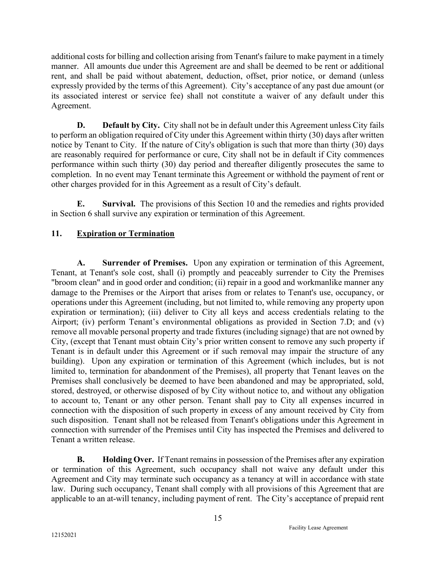additional costs for billing and collection arising from Tenant's failure to make payment in a timely manner. All amounts due under this Agreement are and shall be deemed to be rent or additional rent, and shall be paid without abatement, deduction, offset, prior notice, or demand (unless expressly provided by the terms of this Agreement). City's acceptance of any past due amount (or its associated interest or service fee) shall not constitute a waiver of any default under this Agreement.

D. Default by City. City shall not be in default under this Agreement unless City fails to perform an obligation required of City under this Agreement within thirty (30) days after written notice by Tenant to City. If the nature of City's obligation is such that more than thirty (30) days are reasonably required for performance or cure, City shall not be in default if City commences performance within such thirty (30) day period and thereafter diligently prosecutes the same to completion. In no event may Tenant terminate this Agreement or withhold the payment of rent or other charges provided for in this Agreement as a result of City's default.

 E. Survival. The provisions of this Section 10 and the remedies and rights provided in Section 6 shall survive any expiration or termination of this Agreement.

# 11. Expiration or Termination

A. Surrender of Premises. Upon any expiration or termination of this Agreement, Tenant, at Tenant's sole cost, shall (i) promptly and peaceably surrender to City the Premises "broom clean" and in good order and condition; (ii) repair in a good and workmanlike manner any damage to the Premises or the Airport that arises from or relates to Tenant's use, occupancy, or operations under this Agreement (including, but not limited to, while removing any property upon expiration or termination); (iii) deliver to City all keys and access credentials relating to the Airport; (iv) perform Tenant's environmental obligations as provided in Section 7.D; and (v) remove all movable personal property and trade fixtures (including signage) that are not owned by City, (except that Tenant must obtain City's prior written consent to remove any such property if Tenant is in default under this Agreement or if such removal may impair the structure of any building). Upon any expiration or termination of this Agreement (which includes, but is not limited to, termination for abandonment of the Premises), all property that Tenant leaves on the Premises shall conclusively be deemed to have been abandoned and may be appropriated, sold, stored, destroyed, or otherwise disposed of by City without notice to, and without any obligation to account to, Tenant or any other person. Tenant shall pay to City all expenses incurred in connection with the disposition of such property in excess of any amount received by City from such disposition. Tenant shall not be released from Tenant's obligations under this Agreement in connection with surrender of the Premises until City has inspected the Premises and delivered to Tenant a written release.

B. Holding Over. If Tenant remains in possession of the Premises after any expiration or termination of this Agreement, such occupancy shall not waive any default under this Agreement and City may terminate such occupancy as a tenancy at will in accordance with state law. During such occupancy, Tenant shall comply with all provisions of this Agreement that are applicable to an at-will tenancy, including payment of rent. The City's acceptance of prepaid rent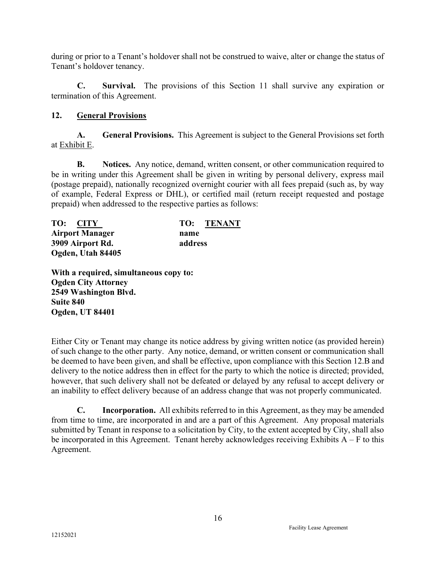during or prior to a Tenant's holdover shall not be construed to waive, alter or change the status of Tenant's holdover tenancy.

C. Survival. The provisions of this Section 11 shall survive any expiration or termination of this Agreement.

### 12. General Provisions

A. General Provisions. This Agreement is subject to the General Provisions set forth at Exhibit E.

B. Notices. Any notice, demand, written consent, or other communication required to be in writing under this Agreement shall be given in writing by personal delivery, express mail (postage prepaid), nationally recognized overnight courier with all fees prepaid (such as, by way of example, Federal Express or DHL), or certified mail (return receipt requested and postage prepaid) when addressed to the respective parties as follows:

| TO: CITY               | TO: TENANT |
|------------------------|------------|
| <b>Airport Manager</b> | name       |
| 3909 Airport Rd.       | address    |
| Ogden, Utah 84405      |            |

With a required, simultaneous copy to: Ogden City Attorney 2549 Washington Blvd. Suite 840 Ogden, UT 84401

Either City or Tenant may change its notice address by giving written notice (as provided herein) of such change to the other party. Any notice, demand, or written consent or communication shall be deemed to have been given, and shall be effective, upon compliance with this Section 12.B and delivery to the notice address then in effect for the party to which the notice is directed; provided, however, that such delivery shall not be defeated or delayed by any refusal to accept delivery or an inability to effect delivery because of an address change that was not properly communicated.

C. Incorporation. All exhibits referred to in this Agreement, as they may be amended from time to time, are incorporated in and are a part of this Agreement. Any proposal materials submitted by Tenant in response to a solicitation by City, to the extent accepted by City, shall also be incorporated in this Agreement. Tenant hereby acknowledges receiving Exhibits  $A - F$  to this Agreement.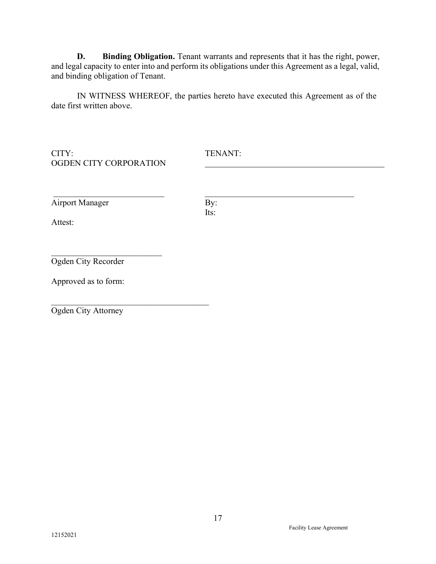D. Binding Obligation. Tenant warrants and represents that it has the right, power, and legal capacity to enter into and perform its obligations under this Agreement as a legal, valid, and binding obligation of Tenant.

IN WITNESS WHEREOF, the parties hereto have executed this Agreement as of the date first written above.

CITY: TENANT: OGDEN CITY CORPORATION

 $\mathcal{L}_\text{max}$  , where  $\mathcal{L}_\text{max}$  and  $\mathcal{L}_\text{max}$ 

 $\mathcal{L}_\text{max}$  and  $\mathcal{L}_\text{max}$  and  $\mathcal{L}_\text{max}$  and  $\mathcal{L}_\text{max}$ 

Airport Manager By:

Its:

Attest:

Ogden City Recorder

Approved as to form:

Ogden City Attorney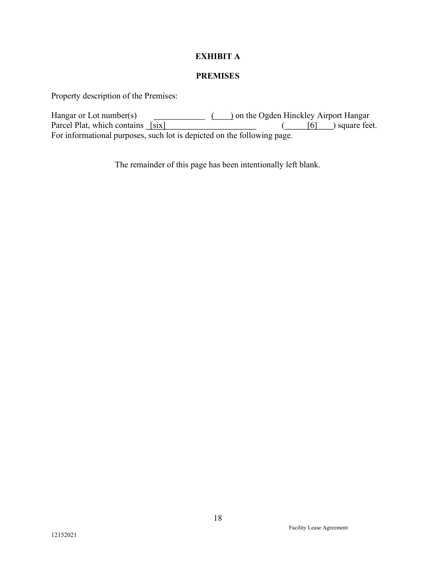### EXHIBIT A

### PREMISES

Property description of the Premises:

Hangar or Lot number(s) ( ) on the Ogden Hinckley Airport Hangar Parcel Plat, which contains  $[six]$  ( [6] ) square feet. For informational purposes, such lot is depicted on the following page.

The remainder of this page has been intentionally left blank.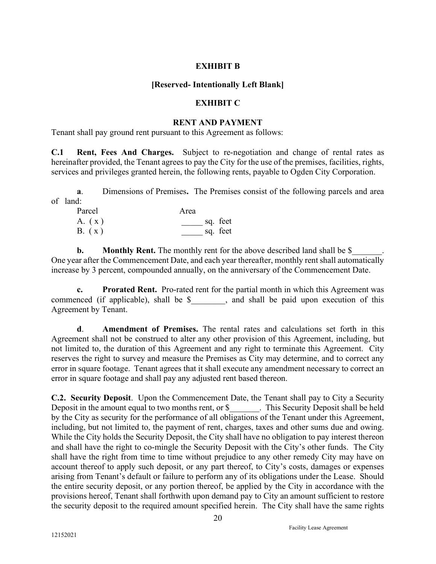#### EXHIBIT B

#### [Reserved- Intentionally Left Blank]

#### EXHIBIT C

#### RENT AND PAYMENT

Tenant shall pay ground rent pursuant to this Agreement as follows:

C.1 Rent, Fees And Charges. Subject to re-negotiation and change of rental rates as hereinafter provided, the Tenant agrees to pay the City for the use of the premises, facilities, rights, services and privileges granted herein, the following rents, payable to Ogden City Corporation.

a. Dimensions of Premises. The Premises consist of the following parcels and area of land:

| Parcel | Area     |
|--------|----------|
| A. (x) | sq. feet |
| B. (x) | sq. feet |

**b.** Monthly Rent. The monthly rent for the above described land shall be \$ One year after the Commencement Date, and each year thereafter, monthly rent shall automatically increase by 3 percent, compounded annually, on the anniversary of the Commencement Date.

c. Prorated Rent. Pro-rated rent for the partial month in which this Agreement was commenced (if applicable), shall be \$, and shall be paid upon execution of this Agreement by Tenant.

d. Amendment of Premises. The rental rates and calculations set forth in this Agreement shall not be construed to alter any other provision of this Agreement, including, but not limited to, the duration of this Agreement and any right to terminate this Agreement. City reserves the right to survey and measure the Premises as City may determine, and to correct any error in square footage. Tenant agrees that it shall execute any amendment necessary to correct an error in square footage and shall pay any adjusted rent based thereon.

C.2. Security Deposit. Upon the Commencement Date, the Tenant shall pay to City a Security Deposit in the amount equal to two months rent, or \$ This Security Deposit shall be held by the City as security for the performance of all obligations of the Tenant under this Agreement, including, but not limited to, the payment of rent, charges, taxes and other sums due and owing. While the City holds the Security Deposit, the City shall have no obligation to pay interest thereon and shall have the right to co-mingle the Security Deposit with the City's other funds. The City shall have the right from time to time without prejudice to any other remedy City may have on account thereof to apply such deposit, or any part thereof, to City's costs, damages or expenses arising from Tenant's default or failure to perform any of its obligations under the Lease. Should the entire security deposit, or any portion thereof, be applied by the City in accordance with the provisions hereof, Tenant shall forthwith upon demand pay to City an amount sufficient to restore the security deposit to the required amount specified herein. The City shall have the same rights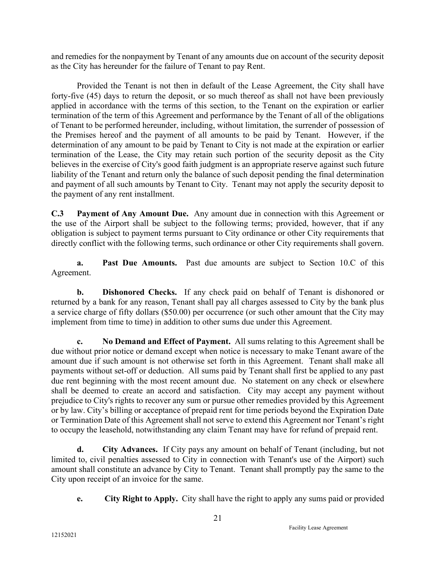and remedies for the nonpayment by Tenant of any amounts due on account of the security deposit as the City has hereunder for the failure of Tenant to pay Rent.

 Provided the Tenant is not then in default of the Lease Agreement, the City shall have forty-five (45) days to return the deposit, or so much thereof as shall not have been previously applied in accordance with the terms of this section, to the Tenant on the expiration or earlier termination of the term of this Agreement and performance by the Tenant of all of the obligations of Tenant to be performed hereunder, including, without limitation, the surrender of possession of the Premises hereof and the payment of all amounts to be paid by Tenant. However, if the determination of any amount to be paid by Tenant to City is not made at the expiration or earlier termination of the Lease, the City may retain such portion of the security deposit as the City believes in the exercise of City's good faith judgment is an appropriate reserve against such future liability of the Tenant and return only the balance of such deposit pending the final determination and payment of all such amounts by Tenant to City. Tenant may not apply the security deposit to the payment of any rent installment.

C.3 Payment of Any Amount Due. Any amount due in connection with this Agreement or the use of the Airport shall be subject to the following terms; provided, however, that if any obligation is subject to payment terms pursuant to City ordinance or other City requirements that directly conflict with the following terms, such ordinance or other City requirements shall govern.

a. Past Due Amounts. Past due amounts are subject to Section 10.C of this Agreement.

b. Dishonored Checks. If any check paid on behalf of Tenant is dishonored or returned by a bank for any reason, Tenant shall pay all charges assessed to City by the bank plus a service charge of fifty dollars (\$50.00) per occurrence (or such other amount that the City may implement from time to time) in addition to other sums due under this Agreement.

c. No Demand and Effect of Payment. All sums relating to this Agreement shall be due without prior notice or demand except when notice is necessary to make Tenant aware of the amount due if such amount is not otherwise set forth in this Agreement. Tenant shall make all payments without set-off or deduction. All sums paid by Tenant shall first be applied to any past due rent beginning with the most recent amount due. No statement on any check or elsewhere shall be deemed to create an accord and satisfaction. City may accept any payment without prejudice to City's rights to recover any sum or pursue other remedies provided by this Agreement or by law. City's billing or acceptance of prepaid rent for time periods beyond the Expiration Date or Termination Date of this Agreement shall not serve to extend this Agreement nor Tenant's right to occupy the leasehold, notwithstanding any claim Tenant may have for refund of prepaid rent.

d. City Advances. If City pays any amount on behalf of Tenant (including, but not limited to, civil penalties assessed to City in connection with Tenant's use of the Airport) such amount shall constitute an advance by City to Tenant. Tenant shall promptly pay the same to the City upon receipt of an invoice for the same.

e. City Right to Apply. City shall have the right to apply any sums paid or provided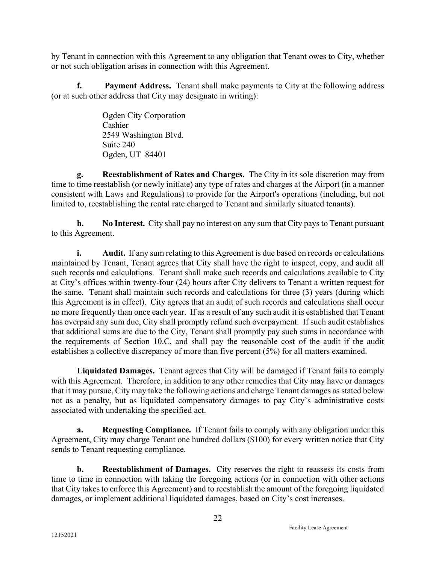by Tenant in connection with this Agreement to any obligation that Tenant owes to City, whether or not such obligation arises in connection with this Agreement.

f. Payment Address. Tenant shall make payments to City at the following address (or at such other address that City may designate in writing):

> Ogden City Corporation Cashier 2549 Washington Blvd. Suite 240 Ogden, UT 84401

g. Reestablishment of Rates and Charges. The City in its sole discretion may from time to time reestablish (or newly initiate) any type of rates and charges at the Airport (in a manner consistent with Laws and Regulations) to provide for the Airport's operations (including, but not limited to, reestablishing the rental rate charged to Tenant and similarly situated tenants).

h. No Interest. City shall pay no interest on any sum that City pays to Tenant pursuant to this Agreement.

i. Audit. If any sum relating to this Agreement is due based on records or calculations maintained by Tenant, Tenant agrees that City shall have the right to inspect, copy, and audit all such records and calculations. Tenant shall make such records and calculations available to City at City's offices within twenty-four (24) hours after City delivers to Tenant a written request for the same. Tenant shall maintain such records and calculations for three (3) years (during which this Agreement is in effect). City agrees that an audit of such records and calculations shall occur no more frequently than once each year. If as a result of any such audit it is established that Tenant has overpaid any sum due, City shall promptly refund such overpayment. If such audit establishes that additional sums are due to the City, Tenant shall promptly pay such sums in accordance with the requirements of Section 10.C, and shall pay the reasonable cost of the audit if the audit establishes a collective discrepancy of more than five percent (5%) for all matters examined.

 Liquidated Damages. Tenant agrees that City will be damaged if Tenant fails to comply with this Agreement. Therefore, in addition to any other remedies that City may have or damages that it may pursue, City may take the following actions and charge Tenant damages as stated below not as a penalty, but as liquidated compensatory damages to pay City's administrative costs associated with undertaking the specified act.

a. Requesting Compliance. If Tenant fails to comply with any obligation under this Agreement, City may charge Tenant one hundred dollars (\$100) for every written notice that City sends to Tenant requesting compliance.

**b.** Reestablishment of Damages. City reserves the right to reassess its costs from time to time in connection with taking the foregoing actions (or in connection with other actions that City takes to enforce this Agreement) and to reestablish the amount of the foregoing liquidated damages, or implement additional liquidated damages, based on City's cost increases.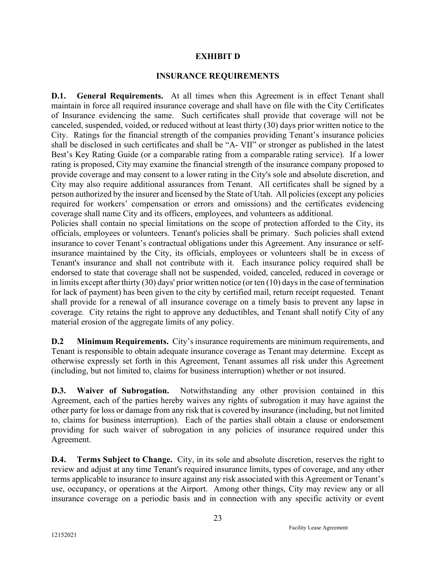#### EXHIBIT D

#### INSURANCE REQUIREMENTS

D.1. General Requirements. At all times when this Agreement is in effect Tenant shall maintain in force all required insurance coverage and shall have on file with the City Certificates of Insurance evidencing the same. Such certificates shall provide that coverage will not be canceled, suspended, voided, or reduced without at least thirty (30) days prior written notice to the City. Ratings for the financial strength of the companies providing Tenant's insurance policies shall be disclosed in such certificates and shall be "A- VII" or stronger as published in the latest Best's Key Rating Guide (or a comparable rating from a comparable rating service). If a lower rating is proposed, City may examine the financial strength of the insurance company proposed to provide coverage and may consent to a lower rating in the City's sole and absolute discretion, and City may also require additional assurances from Tenant. All certificates shall be signed by a person authorized by the insurer and licensed by the State of Utah. All policies (except any policies required for workers' compensation or errors and omissions) and the certificates evidencing coverage shall name City and its officers, employees, and volunteers as additional.

Policies shall contain no special limitations on the scope of protection afforded to the City, its officials, employees or volunteers. Tenant's policies shall be primary. Such policies shall extend insurance to cover Tenant's contractual obligations under this Agreement. Any insurance or selfinsurance maintained by the City, its officials, employees or volunteers shall be in excess of Tenant's insurance and shall not contribute with it. Each insurance policy required shall be endorsed to state that coverage shall not be suspended, voided, canceled, reduced in coverage or in limits except after thirty (30) days' prior written notice (or ten (10) days in the case of termination for lack of payment) has been given to the city by certified mail, return receipt requested. Tenant shall provide for a renewal of all insurance coverage on a timely basis to prevent any lapse in coverage. City retains the right to approve any deductibles, and Tenant shall notify City of any material erosion of the aggregate limits of any policy.

D.2 Minimum Requirements. City's insurance requirements are minimum requirements, and Tenant is responsible to obtain adequate insurance coverage as Tenant may determine. Except as otherwise expressly set forth in this Agreement, Tenant assumes all risk under this Agreement (including, but not limited to, claims for business interruption) whether or not insured.

D.3. Waiver of Subrogation. Notwithstanding any other provision contained in this Agreement, each of the parties hereby waives any rights of subrogation it may have against the other party for loss or damage from any risk that is covered by insurance (including, but not limited to, claims for business interruption). Each of the parties shall obtain a clause or endorsement providing for such waiver of subrogation in any policies of insurance required under this Agreement.

D.4. Terms Subject to Change. City, in its sole and absolute discretion, reserves the right to review and adjust at any time Tenant's required insurance limits, types of coverage, and any other terms applicable to insurance to insure against any risk associated with this Agreement or Tenant's use, occupancy, or operations at the Airport. Among other things, City may review any or all insurance coverage on a periodic basis and in connection with any specific activity or event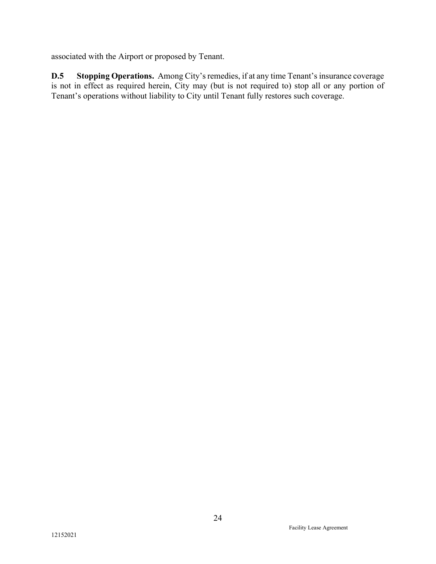associated with the Airport or proposed by Tenant.

D.5 Stopping Operations. Among City's remedies, if at any time Tenant's insurance coverage is not in effect as required herein, City may (but is not required to) stop all or any portion of Tenant's operations without liability to City until Tenant fully restores such coverage.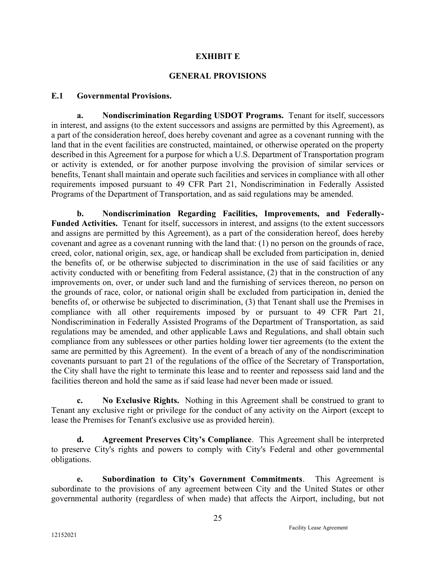#### EXHIBIT E

#### GENERAL PROVISIONS

#### E.1 Governmental Provisions.

a. Nondiscrimination Regarding USDOT Programs. Tenant for itself, successors in interest, and assigns (to the extent successors and assigns are permitted by this Agreement), as a part of the consideration hereof, does hereby covenant and agree as a covenant running with the land that in the event facilities are constructed, maintained, or otherwise operated on the property described in this Agreement for a purpose for which a U.S. Department of Transportation program or activity is extended, or for another purpose involving the provision of similar services or benefits, Tenant shall maintain and operate such facilities and services in compliance with all other requirements imposed pursuant to 49 CFR Part 21, Nondiscrimination in Federally Assisted Programs of the Department of Transportation, and as said regulations may be amended.

b. Nondiscrimination Regarding Facilities, Improvements, and Federally-Funded Activities. Tenant for itself, successors in interest, and assigns (to the extent successors and assigns are permitted by this Agreement), as a part of the consideration hereof, does hereby covenant and agree as a covenant running with the land that: (1) no person on the grounds of race, creed, color, national origin, sex, age, or handicap shall be excluded from participation in, denied the benefits of, or be otherwise subjected to discrimination in the use of said facilities or any activity conducted with or benefiting from Federal assistance, (2) that in the construction of any improvements on, over, or under such land and the furnishing of services thereon, no person on the grounds of race, color, or national origin shall be excluded from participation in, denied the benefits of, or otherwise be subjected to discrimination, (3) that Tenant shall use the Premises in compliance with all other requirements imposed by or pursuant to 49 CFR Part 21, Nondiscrimination in Federally Assisted Programs of the Department of Transportation, as said regulations may be amended, and other applicable Laws and Regulations, and shall obtain such compliance from any sublessees or other parties holding lower tier agreements (to the extent the same are permitted by this Agreement). In the event of a breach of any of the nondiscrimination covenants pursuant to part 21 of the regulations of the office of the Secretary of Transportation, the City shall have the right to terminate this lease and to reenter and repossess said land and the facilities thereon and hold the same as if said lease had never been made or issued.

c. No Exclusive Rights. Nothing in this Agreement shall be construed to grant to Tenant any exclusive right or privilege for the conduct of any activity on the Airport (except to lease the Premises for Tenant's exclusive use as provided herein).

d. Agreement Preserves City's Compliance. This Agreement shall be interpreted to preserve City's rights and powers to comply with City's Federal and other governmental obligations.

e. Subordination to City's Government Commitments. This Agreement is subordinate to the provisions of any agreement between City and the United States or other governmental authority (regardless of when made) that affects the Airport, including, but not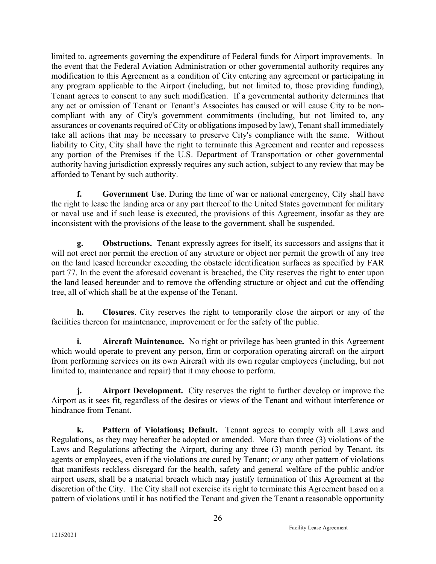limited to, agreements governing the expenditure of Federal funds for Airport improvements. In the event that the Federal Aviation Administration or other governmental authority requires any modification to this Agreement as a condition of City entering any agreement or participating in any program applicable to the Airport (including, but not limited to, those providing funding), Tenant agrees to consent to any such modification. If a governmental authority determines that any act or omission of Tenant or Tenant's Associates has caused or will cause City to be noncompliant with any of City's government commitments (including, but not limited to, any assurances or covenants required of City or obligations imposed by law), Tenant shall immediately take all actions that may be necessary to preserve City's compliance with the same. Without liability to City, City shall have the right to terminate this Agreement and reenter and repossess any portion of the Premises if the U.S. Department of Transportation or other governmental authority having jurisdiction expressly requires any such action, subject to any review that may be afforded to Tenant by such authority.

f. Government Use. During the time of war or national emergency, City shall have the right to lease the landing area or any part thereof to the United States government for military or naval use and if such lease is executed, the provisions of this Agreement, insofar as they are inconsistent with the provisions of the lease to the government, shall be suspended.

g. Obstructions. Tenant expressly agrees for itself, its successors and assigns that it will not erect nor permit the erection of any structure or object nor permit the growth of any tree on the land leased hereunder exceeding the obstacle identification surfaces as specified by FAR part 77. In the event the aforesaid covenant is breached, the City reserves the right to enter upon the land leased hereunder and to remove the offending structure or object and cut the offending tree, all of which shall be at the expense of the Tenant.

h. Closures. City reserves the right to temporarily close the airport or any of the facilities thereon for maintenance, improvement or for the safety of the public.

**i.** Aircraft Maintenance. No right or privilege has been granted in this Agreement which would operate to prevent any person, firm or corporation operating aircraft on the airport from performing services on its own Aircraft with its own regular employees (including, but not limited to, maintenance and repair) that it may choose to perform.

j. Airport Development. City reserves the right to further develop or improve the Airport as it sees fit, regardless of the desires or views of the Tenant and without interference or hindrance from Tenant.

k. Pattern of Violations; Default. Tenant agrees to comply with all Laws and Regulations, as they may hereafter be adopted or amended. More than three (3) violations of the Laws and Regulations affecting the Airport, during any three (3) month period by Tenant, its agents or employees, even if the violations are cured by Tenant; or any other pattern of violations that manifests reckless disregard for the health, safety and general welfare of the public and/or airport users, shall be a material breach which may justify termination of this Agreement at the discretion of the City. The City shall not exercise its right to terminate this Agreement based on a pattern of violations until it has notified the Tenant and given the Tenant a reasonable opportunity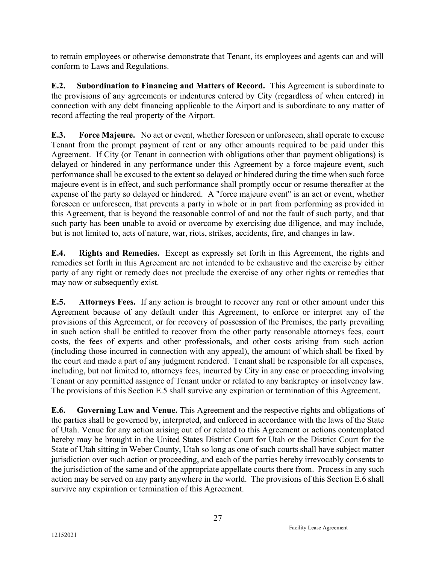to retrain employees or otherwise demonstrate that Tenant, its employees and agents can and will conform to Laws and Regulations.

E.2. Subordination to Financing and Matters of Record. This Agreement is subordinate to the provisions of any agreements or indentures entered by City (regardless of when entered) in connection with any debt financing applicable to the Airport and is subordinate to any matter of record affecting the real property of the Airport.

E.3. Force Majeure. No act or event, whether foreseen or unforeseen, shall operate to excuse Tenant from the prompt payment of rent or any other amounts required to be paid under this Agreement. If City (or Tenant in connection with obligations other than payment obligations) is delayed or hindered in any performance under this Agreement by a force majeure event, such performance shall be excused to the extent so delayed or hindered during the time when such force majeure event is in effect, and such performance shall promptly occur or resume thereafter at the expense of the party so delayed or hindered. A "force majeure event" is an act or event, whether foreseen or unforeseen, that prevents a party in whole or in part from performing as provided in this Agreement, that is beyond the reasonable control of and not the fault of such party, and that such party has been unable to avoid or overcome by exercising due diligence, and may include, but is not limited to, acts of nature, war, riots, strikes, accidents, fire, and changes in law.

E.4. Rights and Remedies. Except as expressly set forth in this Agreement, the rights and remedies set forth in this Agreement are not intended to be exhaustive and the exercise by either party of any right or remedy does not preclude the exercise of any other rights or remedies that may now or subsequently exist.

E.5. Attorneys Fees. If any action is brought to recover any rent or other amount under this Agreement because of any default under this Agreement, to enforce or interpret any of the provisions of this Agreement, or for recovery of possession of the Premises, the party prevailing in such action shall be entitled to recover from the other party reasonable attorneys fees, court costs, the fees of experts and other professionals, and other costs arising from such action (including those incurred in connection with any appeal), the amount of which shall be fixed by the court and made a part of any judgment rendered. Tenant shall be responsible for all expenses, including, but not limited to, attorneys fees, incurred by City in any case or proceeding involving Tenant or any permitted assignee of Tenant under or related to any bankruptcy or insolvency law. The provisions of this Section E.5 shall survive any expiration or termination of this Agreement.

E.6. Governing Law and Venue. This Agreement and the respective rights and obligations of the parties shall be governed by, interpreted, and enforced in accordance with the laws of the State of Utah. Venue for any action arising out of or related to this Agreement or actions contemplated hereby may be brought in the United States District Court for Utah or the District Court for the State of Utah sitting in Weber County, Utah so long as one of such courts shall have subject matter jurisdiction over such action or proceeding, and each of the parties hereby irrevocably consents to the jurisdiction of the same and of the appropriate appellate courts there from. Process in any such action may be served on any party anywhere in the world. The provisions of this Section E.6 shall survive any expiration or termination of this Agreement.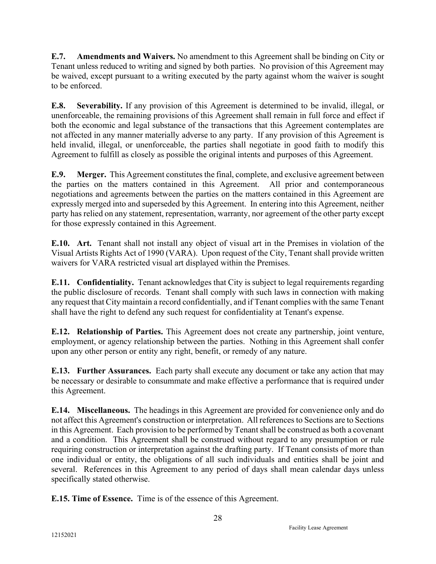E.7. Amendments and Waivers. No amendment to this Agreement shall be binding on City or Tenant unless reduced to writing and signed by both parties. No provision of this Agreement may be waived, except pursuant to a writing executed by the party against whom the waiver is sought to be enforced.

E.8. Severability. If any provision of this Agreement is determined to be invalid, illegal, or unenforceable, the remaining provisions of this Agreement shall remain in full force and effect if both the economic and legal substance of the transactions that this Agreement contemplates are not affected in any manner materially adverse to any party. If any provision of this Agreement is held invalid, illegal, or unenforceable, the parties shall negotiate in good faith to modify this Agreement to fulfill as closely as possible the original intents and purposes of this Agreement.

E.9. Merger. This Agreement constitutes the final, complete, and exclusive agreement between the parties on the matters contained in this Agreement. All prior and contemporaneous negotiations and agreements between the parties on the matters contained in this Agreement are expressly merged into and superseded by this Agreement. In entering into this Agreement, neither party has relied on any statement, representation, warranty, nor agreement of the other party except for those expressly contained in this Agreement.

E.10. Art. Tenant shall not install any object of visual art in the Premises in violation of the Visual Artists Rights Act of 1990 (VARA). Upon request of the City, Tenant shall provide written waivers for VARA restricted visual art displayed within the Premises.

E.11. Confidentiality. Tenant acknowledges that City is subject to legal requirements regarding the public disclosure of records. Tenant shall comply with such laws in connection with making any request that City maintain a record confidentially, and if Tenant complies with the same Tenant shall have the right to defend any such request for confidentiality at Tenant's expense.

E.12. Relationship of Parties. This Agreement does not create any partnership, joint venture, employment, or agency relationship between the parties. Nothing in this Agreement shall confer upon any other person or entity any right, benefit, or remedy of any nature.

E.13. Further Assurances. Each party shall execute any document or take any action that may be necessary or desirable to consummate and make effective a performance that is required under this Agreement.

E.14. Miscellaneous. The headings in this Agreement are provided for convenience only and do not affect this Agreement's construction or interpretation. All references to Sections are to Sections in this Agreement. Each provision to be performed by Tenant shall be construed as both a covenant and a condition. This Agreement shall be construed without regard to any presumption or rule requiring construction or interpretation against the drafting party. If Tenant consists of more than one individual or entity, the obligations of all such individuals and entities shall be joint and several. References in this Agreement to any period of days shall mean calendar days unless specifically stated otherwise.

E.15. Time of Essence. Time is of the essence of this Agreement.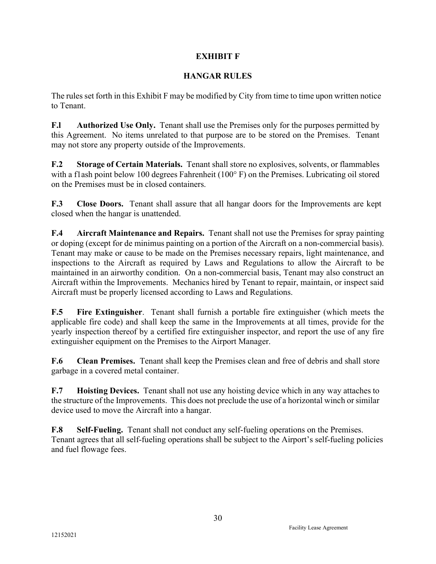# EXHIBIT F

## HANGAR RULES

The rules set forth in this Exhibit F may be modified by City from time to time upon written notice to Tenant.

F.I Authorized Use Only. Tenant shall use the Premises only for the purposes permitted by this Agreement. No items unrelated to that purpose are to be stored on the Premises. Tenant may not store any property outside of the Improvements.

F.2 Storage of Certain Materials. Tenant shall store no explosives, solvents, or flammables with a flash point below 100 degrees Fahrenheit (100°F) on the Premises. Lubricating oil stored on the Premises must be in closed containers.

F.3 Close Doors. Tenant shall assure that all hangar doors for the Improvements are kept closed when the hangar is unattended.

F.4 Aircraft Maintenance and Repairs. Tenant shall not use the Premises for spray painting or doping (except for de minimus painting on a portion of the Aircraft on a non-commercial basis). Tenant may make or cause to be made on the Premises necessary repairs, light maintenance, and inspections to the Aircraft as required by Laws and Regulations to allow the Aircraft to be maintained in an airworthy condition. On a non-commercial basis, Tenant may also construct an Aircraft within the Improvements. Mechanics hired by Tenant to repair, maintain, or inspect said Aircraft must be properly licensed according to Laws and Regulations.

F.5 Fire Extinguisher. Tenant shall furnish a portable fire extinguisher (which meets the applicable fire code) and shall keep the same in the Improvements at all times, provide for the yearly inspection thereof by a certified fire extinguisher inspector, and report the use of any fire extinguisher equipment on the Premises to the Airport Manager.

F.6 Clean Premises. Tenant shall keep the Premises clean and free of debris and shall store garbage in a covered metal container.

F.7 Hoisting Devices. Tenant shall not use any hoisting device which in any way attaches to the structure of the Improvements. This does not preclude the use of a horizontal winch or similar device used to move the Aircraft into a hangar.

F.8 Self-Fueling. Tenant shall not conduct any self-fueling operations on the Premises. Tenant agrees that all self-fueling operations shall be subject to the Airport's self-fueling policies and fuel flowage fees.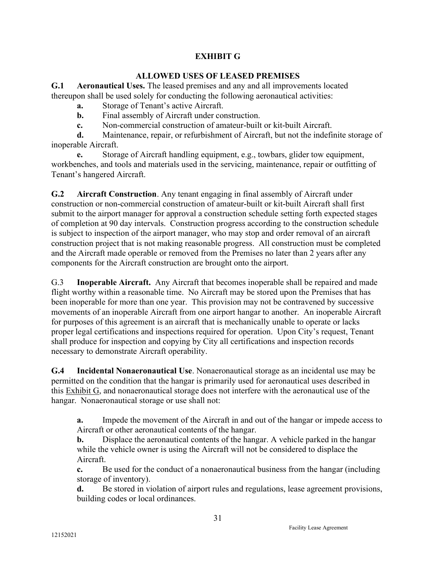# EXHIBIT G

### ALLOWED USES OF LEASED PREMISES

G.1 Aeronautical Uses. The leased premises and any and all improvements located thereupon shall be used solely for conducting the following aeronautical activities:

- a. Storage of Tenant's active Aircraft.
- b. Final assembly of Aircraft under construction.
- c. Non-commercial construction of amateur-built or kit-built Aircraft.

d. Maintenance, repair, or refurbishment of Aircraft, but not the indefinite storage of inoperable Aircraft.

e. Storage of Aircraft handling equipment, e.g., towbars, glider tow equipment, workbenches, and tools and materials used in the servicing, maintenance, repair or outfitting of Tenant's hangered Aircraft.

G.2 Aircraft Construction. Any tenant engaging in final assembly of Aircraft under construction or non-commercial construction of amateur-built or kit-built Aircraft shall first submit to the airport manager for approval a construction schedule setting forth expected stages of completion at 90 day intervals. Construction progress according to the construction schedule is subject to inspection of the airport manager, who may stop and order removal of an aircraft construction project that is not making reasonable progress. All construction must be completed and the Aircraft made operable or removed from the Premises no later than 2 years after any components for the Aircraft construction are brought onto the airport.

G.3 Inoperable Aircraft. Any Aircraft that becomes inoperable shall be repaired and made flight worthy within a reasonable time. No Aircraft may be stored upon the Premises that has been inoperable for more than one year. This provision may not be contravened by successive movements of an inoperable Aircraft from one airport hangar to another. An inoperable Aircraft for purposes of this agreement is an aircraft that is mechanically unable to operate or lacks proper legal certifications and inspections required for operation. Upon City's request, Tenant shall produce for inspection and copying by City all certifications and inspection records necessary to demonstrate Aircraft operability.

G.4 Incidental Nonaeronautical Use. Nonaeronautical storage as an incidental use may be permitted on the condition that the hangar is primarily used for aeronautical uses described in this Exhibit G, and nonaeronautical storage does not interfere with the aeronautical use of the hangar. Nonaeronautical storage or use shall not:

a. Impede the movement of the Aircraft in and out of the hangar or impede access to Aircraft or other aeronautical contents of the hangar.

b. Displace the aeronautical contents of the hangar. A vehicle parked in the hangar while the vehicle owner is using the Aircraft will not be considered to displace the Aircraft.

c. Be used for the conduct of a nonaeronautical business from the hangar (including storage of inventory).

d. Be stored in violation of airport rules and regulations, lease agreement provisions, building codes or local ordinances.